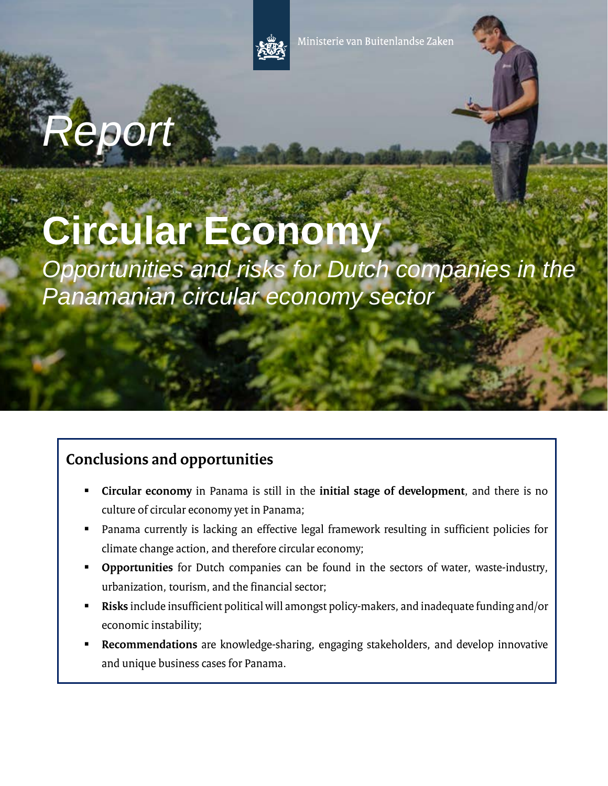

# *Report*

## **Circular Economy**

*Opportunities and risks for Dutch companies in the Panamanian circular economy sector*

### **Conclusions and opportunities**

- **Circular economy** in Panama is still in the **initial stage of development**, and there is no culture of circular economy yet in Panama;
- Panama currently is lacking an effective legal framework resulting in sufficient policies for climate change action, and therefore circular economy;
- **Opportunities** for Dutch companies can be found in the sectors of water, waste-industry, urbanization, tourism, and the financial sector;
- **Risks** include insufficient political will amongst policy-makers, and inadequate funding and/or economic instability;
- **Recommendations** are knowledge-sharing, engaging stakeholders, and develop innovative and unique business cases for Panama.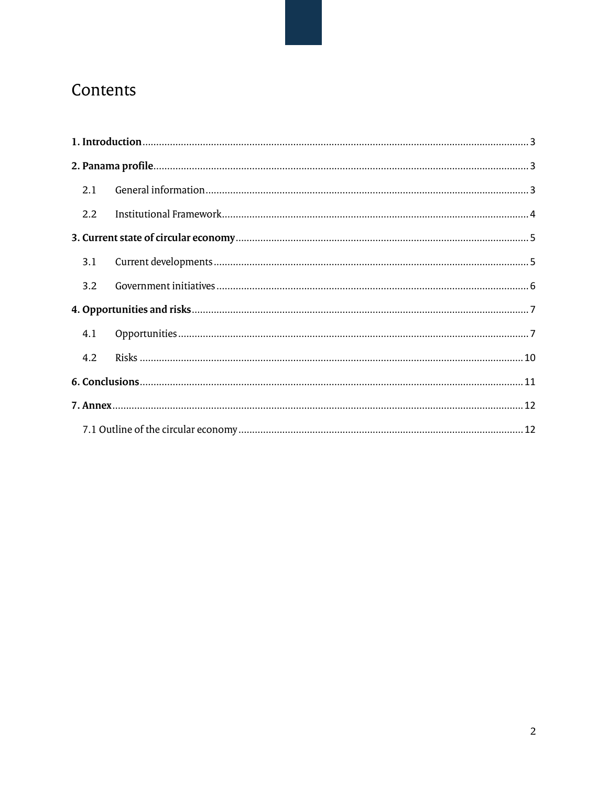## Contents

| 2.1 |  |
|-----|--|
| 2.2 |  |
|     |  |
| 3.1 |  |
| 3.2 |  |
|     |  |
| 4.1 |  |
| 4.2 |  |
|     |  |
|     |  |
|     |  |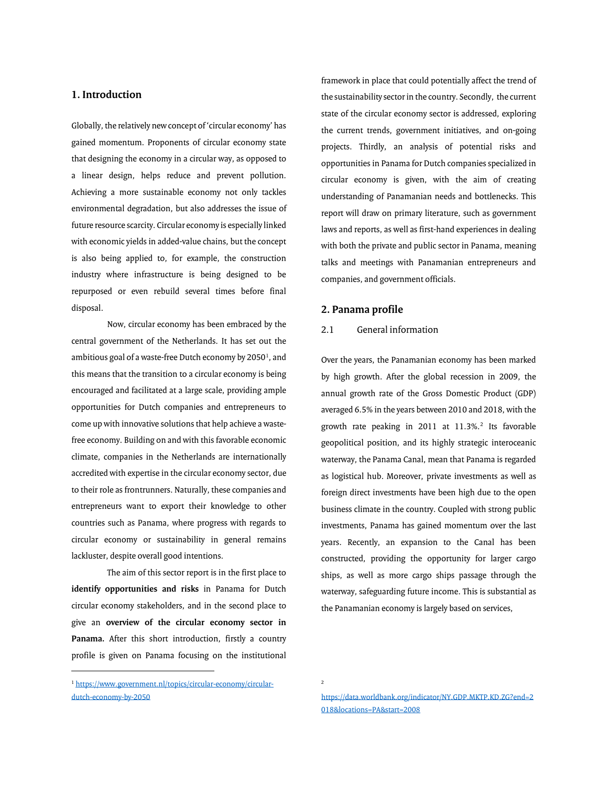#### <span id="page-2-0"></span>**1. Introduction**

Globally, the relatively newconcept of 'circular economy' has gained momentum. Proponents of circular economy state that designing the economy in a circular way, as opposed to a linear design, helps reduce and prevent pollution. Achieving a more sustainable economy not only tackles environmental degradation, but also addresses the issue of future resource scarcity. Circular economy is especially linked with economic yields in added-value chains, but the concept is also being applied to, for example, the construction industry where infrastructure is being designed to be repurposed or even rebuild several times before final disposal.

Now, circular economy has been embraced by the central government of the Netherlands. It has set out the ambitious goal of a waste-free Dutch economy by 2050<sup>[1](#page-2-3)</sup>, and this means that the transition to a circular economy is being encouraged and facilitated at a large scale, providing ample opportunities for Dutch companies and entrepreneurs to come up with innovative solutions that help achieve a wastefree economy. Building on and with this favorable economic climate, companies in the Netherlands are internationally accredited with expertise in the circular economy sector, due to their role as frontrunners. Naturally, these companies and entrepreneurs want to export their knowledge to other countries such as Panama, where progress with regards to circular economy or sustainability in general remains lackluster, despite overall good intentions.

The aim of this sector report is in the first place to **identify opportunities and risks** in Panama for Dutch circular economy stakeholders, and in the second place to give an **overview of the circular economy sector in Panama.** After this short introduction, firstly a country profile is given on Panama focusing on the institutional

 $\overline{a}$ 

framework in place that could potentially affect the trend of the sustainability sector in the country. Secondly, the current state of the circular economy sector is addressed, exploring the current trends, government initiatives, and on-going projects. Thirdly, an analysis of potential risks and opportunities in Panama for Dutch companies specialized in circular economy is given, with the aim of creating understanding of Panamanian needs and bottlenecks. This report will draw on primary literature, such as government laws and reports, as well as first-hand experiences in dealing with both the private and public sector in Panama, meaning talks and meetings with Panamanian entrepreneurs and companies, and government officials.

#### <span id="page-2-1"></span>**2. Panama profile**

#### <span id="page-2-2"></span>2.1 General information

Over the years, the Panamanian economy has been marked by high growth. After the global recession in 2009, the annual growth rate of the Gross Domestic Product (GDP) averaged 6.5% in the years between 2010 and 2018, with the growth rate peaking in [2](#page-2-4)011 at 11.3%.<sup>2</sup> Its favorable geopolitical position, and its highly strategic interoceanic waterway, the Panama Canal, mean that Panama is regarded as logistical hub. Moreover, private investments as well as foreign direct investments have been high due to the open business climate in the country. Coupled with strong public investments, Panama has gained momentum over the last years. Recently, an expansion to the Canal has been constructed, providing the opportunity for larger cargo ships, as well as more cargo ships passage through the waterway, safeguarding future income. This is substantial as the Panamanian economy is largely based on services,

<span id="page-2-4"></span><span id="page-2-3"></span><sup>1</sup> [https://www.government.nl/topics/circular-economy/circular](https://www.government.nl/topics/circular-economy/circular-dutch-economy-by-2050)[dutch-economy-by-2050](https://www.government.nl/topics/circular-economy/circular-dutch-economy-by-2050)

<sup>2</sup>

[https://data.worldbank.org/indicator/NY.GDP.MKTP.KD.ZG?end=2](https://data.worldbank.org/indicator/NY.GDP.MKTP.KD.ZG?end=2018&locations=PA&start=2008) [018&locations=PA&start=2008](https://data.worldbank.org/indicator/NY.GDP.MKTP.KD.ZG?end=2018&locations=PA&start=2008)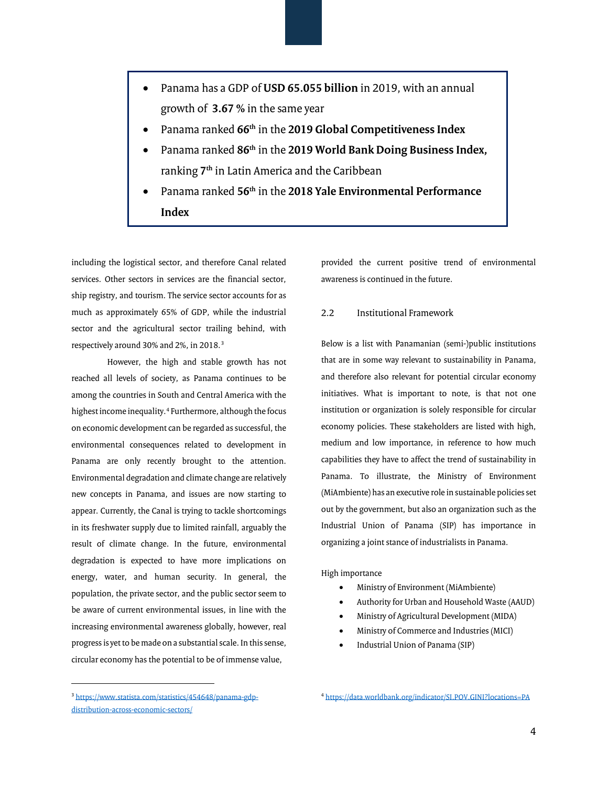- Panama has a GDP of **USD 65.055 billion** in 2019, with an annual growth of **3.67 %** in the same year
- Panama ranked **66th** in the **2019 Global Competitiveness Index**
- Panama ranked **86th** in the **2019 World Bank Doing Business Index,**  ranking **7th** in Latin America and the Caribbean
- Panama ranked **56th** in the **2018 Yale Environmental Performance Index**

including the logistical sector, and therefore Canal related services. Other sectors in services are the financial sector, ship registry, and tourism. The service sector accounts for as much as approximately 65% of GDP, while the industrial sector and the agricultural sector trailing behind, with respectively around 30% and 2%, in 2018.[3](#page-3-1)

However, the high and stable growth has not reached all levels of society, as Panama continues to be among the countries in South and Central America with the highest income inequality.<sup>[4](#page-3-1)</sup> Furthermore, although the focus on economic development can be regarded as successful, the environmental consequences related to development in Panama are only recently brought to the attention. Environmental degradation and climate change are relatively new concepts in Panama, and issues are now starting to appear. Currently, the Canal is trying to tackle shortcomings in its freshwater supply due to limited rainfall, arguably the result of climate change. In the future, environmental degradation is expected to have more implications on energy, water, and human security. In general, the population, the private sector, and the public sector seem to be aware of current environmental issues, in line with the increasing environmental awareness globally, however, real progress is yet to be made on a substantial scale. In this sense, circular economy has the potential to be of immense value,

provided the current positive trend of environmental awareness is continued in the future.

#### <span id="page-3-0"></span>2.2 Institutional Framework

Below is a list with Panamanian (semi-)public institutions that are in some way relevant to sustainability in Panama, and therefore also relevant for potential circular economy initiatives. What is important to note, is that not one institution or organization is solely responsible for circular economy policies. These stakeholders are listed with high, medium and low importance, in reference to how much capabilities they have to affect the trend of sustainability in Panama. To illustrate, the Ministry of Environment (MiAmbiente) has an executive role in sustainable policies set out by the government, but also an organization such as the Industrial Union of Panama (SIP) has importance in organizing a joint stance of industrialists in Panama.

#### High importance

- Ministry of Environment (MiAmbiente)
- Authority for Urban and Household Waste (AAUD)
- Ministry of Agricultural Development (MIDA)
- Ministry of Commerce and Industries (MICI)
- Industrial Union of Panama (SIP)

l

<span id="page-3-1"></span><sup>3</sup> [https://www.statista.com/statistics/454648/panama-gdp](https://www.statista.com/statistics/454648/panama-gdp-distribution-across-economic-sectors/)[distribution-across-economic-sectors/](https://www.statista.com/statistics/454648/panama-gdp-distribution-across-economic-sectors/)

<sup>4</sup> <https://data.worldbank.org/indicator/SI.POV.GINI?locations=PA>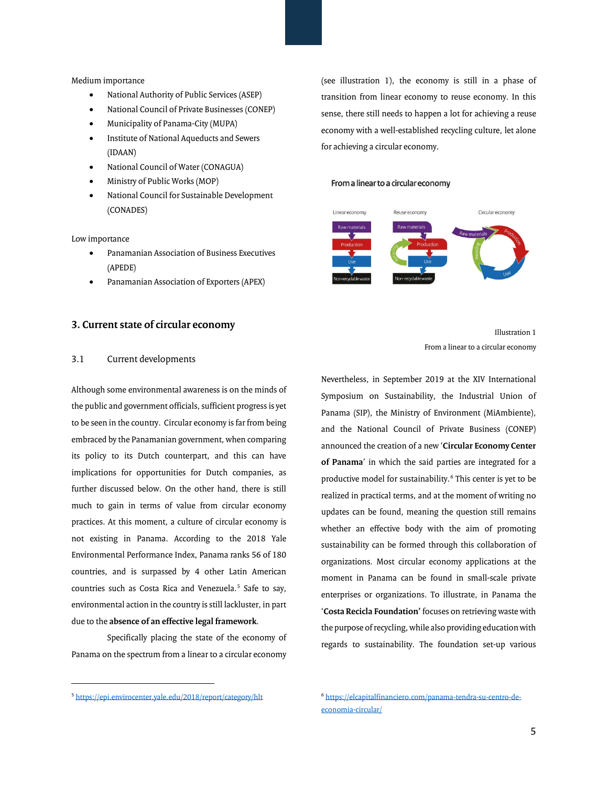#### Medium importance

- National Authority of Public Services (ASEP)
- National Council of Private Businesses (CONEP)
- Municipality of Panama-City (MUPA)
- Institute of National Aqueducts and Sewers (IDAAN)
- National Council of Water (CONAGUA)
- Ministry of Public Works (MOP)
- National Council for Sustainable Development (CONADES)

Low importance

- Panamanian Association of Business Executives (APEDE)
- Panamanian Association of Exporters (APEX)

#### <span id="page-4-0"></span>**3. Current state of circular economy**

#### <span id="page-4-1"></span>3.1 Current developments

Although some environmental awareness is on the minds of the public and government officials, sufficient progress is yet to be seen in the country. Circular economy is far from being embraced bythe Panamanian government, when comparing its policy to its Dutch counterpart, and this can have implications for opportunities for Dutch companies, as further discussed below. On the other hand, there is still much to gain in terms of value from circular economy practices. At this moment, a culture of circular economy is not existing in Panama. According to the 2018 Yale Environmental Performance Index, Panama ranks 56 of 180 countries, and is surpassed by 4 other Latin American countries such as Costa Rica and Venezuela.<sup>[5](#page-4-2)</sup> Safe to say, environmental action in the country is still lackluster, in part due to the **absence of an effective legal framework**.

Specifically placing the state of the economy of Panama on the spectrum from a linear to a circular economy

(see illustration 1), the economy is still in a phase of transition from linear economy to reuse economy. In this sense, there still needs to happen a lot for achieving a reuse economy with a well-established recycling culture, let alone for achieving a circular economy.

#### From a linear to a circular economy



Illustration 1 From a linear to a circular economy

Nevertheless, in September 2019 at the XIV International Symposium on Sustainability, the Industrial Union of Panama (SIP), the Ministry of Environment (MiAmbiente), and the National Council of Private Business (CONEP) announced the creation of a new '**Circular Economy Center of Panama**' in which the said parties are integrated for a productive model for sustainability.<sup>[6](#page-4-2)</sup> This center is yet to be realized in practical terms, and at the moment of writing no updates can be found, meaning the question still remains whether an effective body with the aim of promoting sustainability can be formed through this collaboration of organizations. Most circular economy applications at the moment in Panama can be found in small-scale private enterprises or organizations. To illustrate, in Panama the '**Costa Recicla Foundation'** focuses on retrieving waste with the purpose of recycling, while also providing education with regards to sustainability. The foundation set-up various

l

<span id="page-4-2"></span><sup>5</sup> <https://epi.envirocenter.yale.edu/2018/report/category/hlt>

<sup>6</sup> [https://elcapitalfinanciero.com/panama-tendra-su-centro-de](https://elcapitalfinanciero.com/panama-tendra-su-centro-de-economia-circular/)[economia-circular/](https://elcapitalfinanciero.com/panama-tendra-su-centro-de-economia-circular/)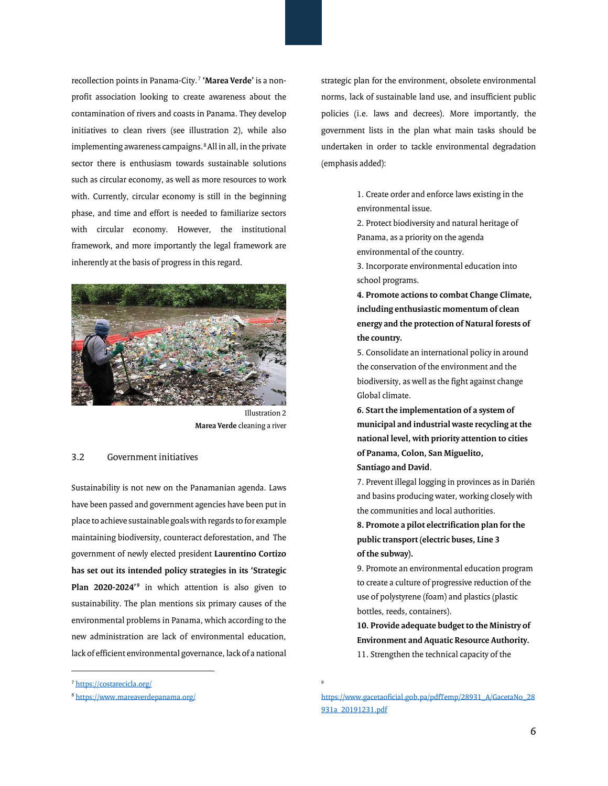recollection points in Panama-City.[7](#page-5-1) **'Marea Verde'** is a nonprofit association looking to create awareness about the contamination of rivers and coasts in Panama. They develop initiatives to clean rivers (see illustration 2), while also implementing awareness campaigns.<sup>[8](#page-5-2)</sup> All in all, in the private sector there is enthusiasm towards sustainable solutions such as circular economy, as well as more resources to work with. Currently, circular economy is still in the beginning phase, and time and effort is needed to familiarize sectors with circular economy. However, the institutional framework, and more importantly the legal framework are inherently at the basis of progress in this regard.



Illustration 2 **Marea Verde** cleaning a river

#### <span id="page-5-0"></span>3.2 Government initiatives

Sustainability is not new on the Panamanian agenda. Laws have been passed and government agencies have been put in place to achieve sustainable goals with regards to for example maintaining biodiversity, counteract deforestation, and The government of newly elected president **Laurentino Cortizo has set out its intended policy strategies in its 'Strategic Plan 2020-2024'[9](#page-5-3)** in which attention is also given to sustainability. The plan mentions six primary causes of the environmental problems in Panama, which according to the new administration are lack of environmental education, lack of efficient environmental governance, lack of a national

<span id="page-5-3"></span><span id="page-5-2"></span><span id="page-5-1"></span><sup>7</sup> <https://costarecicla.org/>

 $\overline{a}$ 

strategic plan for the environment, obsolete environmental norms, lack of sustainable land use, and insufficient public policies (i.e. laws and decrees). More importantly, the government lists in the plan what main tasks should be undertaken in order to tackle environmental degradation (emphasis added):

> 1. Create order and enforce laws existing in the environmental issue.

2. Protect biodiversity and natural heritage of Panama, as a priority on the agenda environmental of the country.

3. Incorporate environmental education into school programs.

**4. Promote actions to combat Change Climate, including enthusiastic momentum of clean energy and the protection of Natural forests of the country.**

5. Consolidate an international policy in around the conservation of the environment and the biodiversity, as well as the fight against change Global climate.

**6. Start the implementation of a system of municipal and industrial waste recycling at the national level, with priority attention to cities of Panama, Colon, San Miguelito, Santiago and David**.

7. Prevent illegal logging in provinces as in Darién and basins producing water, working closely with the communities and local authorities.

**8. Promote a pilot electrification plan for the public transport (electric buses, Line 3 of the subway).**

9. Promote an environmental education program to create a culture of progressive reduction of the use of polystyrene (foam) and plastics (plastic bottles, reeds, containers).

**10. Provide adequate budget to the Ministry of Environment and Aquatic Resource Authority.** 11. Strengthen the technical capacity of the

[https://www.gacetaoficial.gob.pa/pdfTemp/28931\\_A/GacetaNo\\_28](https://www.gacetaoficial.gob.pa/pdfTemp/28931_A/GacetaNo_28931a_20191231.pdf) [931a\\_20191231.pdf](https://www.gacetaoficial.gob.pa/pdfTemp/28931_A/GacetaNo_28931a_20191231.pdf)

9

<sup>8</sup> <https://www.mareaverdepanama.org/>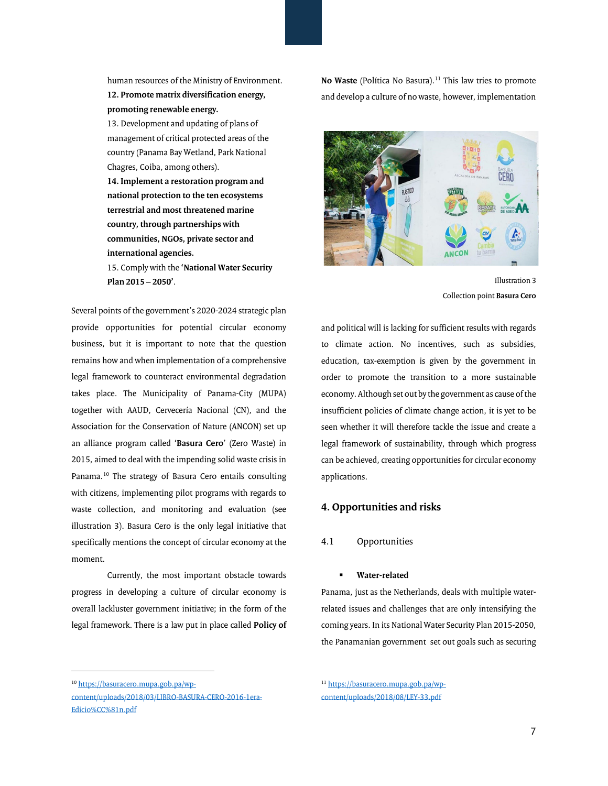human resources of the Ministry of Environment. **12. Promote matrix diversification energy, promoting renewable energy.**

13. Development and updating of plans of management of critical protected areas of the country (Panama Bay Wetland, Park National Chagres, Coiba, among others).

**14. Implement a restoration program and national protection to the ten ecosystems terrestrial and most threatened marine country, through partnerships with communities, NGOs, private sector and international agencies.**

15. Comply with the **'National Water Security Plan 2015 – 2050'**.

Several points of the government's 2020-2024 strategic plan provide opportunities for potential circular economy business, but it is important to note that the question remains how and when implementation of a comprehensive legal framework to counteract environmental degradation takes place. The Municipality of Panama-City (MUPA) together with AAUD, Cervecería Nacional (CN), and the Association for the Conservation of Nature (ANCON) set up an alliance program called '**Basura Cero**' (Zero Waste) in 2015, aimed to deal with the impending solid waste crisis in Panama.[10](#page-6-2) The strategy of Basura Cero entails consulting with citizens, implementing pilot programs with regards to waste collection, and monitoring and evaluation (see illustration 3). Basura Cero is the only legal initiative that specifically mentions the concept of circular economy at the moment.

Currently, the most important obstacle towards progress in developing a culture of circular economy is overall lackluster government initiative; in the form of the legal framework. There is a law put in place called **Policy of** 

 $\overline{a}$ 

**No Waste** (Política No Basura).<sup>[11](#page-6-2)</sup> This law tries to promote and develop a culture of no waste, however, implementation



Illustration 3 Collection point **Basura Cero**

and political will is lacking for sufficient results with regards to climate action. No incentives, such as subsidies, education, tax-exemption is given by the government in order to promote the transition to a more sustainable economy. Although set out by the government as cause of the insufficient policies of climate change action, it is yet to be seen whether it will therefore tackle the issue and create a legal framework of sustainability, through which progress can be achieved, creating opportunities for circular economy applications.

#### <span id="page-6-0"></span>**4. Opportunities and risks**

#### <span id="page-6-1"></span>4.1 Opportunities

#### **Water-related**

Panama, just as the Netherlands, deals with multiple waterrelated issues and challenges that are only intensifying the coming years. In its National Water Security Plan 2015-2050, the Panamanian government set out goals such as securing

<sup>11</sup> [https://basuracero.mupa.gob.pa/wp](https://basuracero.mupa.gob.pa/wp-content/uploads/2018/08/LEY-33.pdf)[content/uploads/2018/08/LEY-33.pdf](https://basuracero.mupa.gob.pa/wp-content/uploads/2018/08/LEY-33.pdf)

<span id="page-6-2"></span><sup>10</sup> [https://basuracero.mupa.gob.pa/wp-](https://basuracero.mupa.gob.pa/wp-content/uploads/2018/03/LIBRO-BASURA-CERO-2016-1era-Edicio%CC%81n.pdf)

[content/uploads/2018/03/LIBRO-BASURA-CERO-2016-1era-](https://basuracero.mupa.gob.pa/wp-content/uploads/2018/03/LIBRO-BASURA-CERO-2016-1era-Edicio%CC%81n.pdf)[Edicio%CC%81n.pdf](https://basuracero.mupa.gob.pa/wp-content/uploads/2018/03/LIBRO-BASURA-CERO-2016-1era-Edicio%CC%81n.pdf)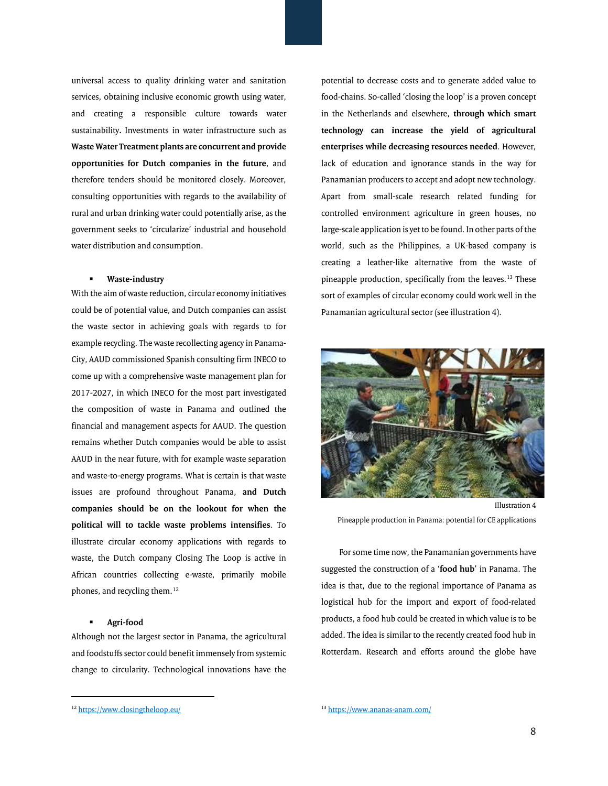universal access to quality drinking water and sanitation services, obtaining inclusive economic growth using water, and creating a responsible culture towards water sustainability**.** Investments in water infrastructure such as **Waste Water Treatment plants are concurrent and provide opportunities for Dutch companies in the future**, and therefore tenders should be monitored closely. Moreover, consulting opportunities with regards to the availability of rural and urban drinking water could potentially arise, as the government seeks to 'circularize' industrial and household water distribution and consumption.

#### **Waste-industry**

With the aim of waste reduction, circular economy initiatives could be of potential value, and Dutch companies can assist the waste sector in achieving goals with regards to for example recycling. The waste recollecting agency in Panama-City, AAUD commissioned Spanish consulting firm INECO to come up with a comprehensive waste management plan for 2017-2027, in which INECO for the most part investigated the composition of waste in Panama and outlined the financial and management aspects for AAUD. The question remains whether Dutch companies would be able to assist AAUD in the near future, with for example waste separation and waste-to-energy programs. What is certain is that waste issues are profound throughout Panama, **and Dutch companies should be on the lookout for when the political will to tackle waste problems intensifies**. To illustrate circular economy applications with regards to waste, the Dutch company Closing The Loop is active in African countries collecting e-waste, primarily mobile phones, and recycling them.<sup>[12](#page-7-0)</sup>

#### **Agri-food**

Although not the largest sector in Panama, the agricultural and foodstuffs sector could benefit immensely from systemic change to circularity. Technological innovations have the

potential to decrease costs and to generate added value to food-chains. So-called 'closing the loop' is a proven concept in the Netherlands and elsewhere, **through which smart technology can increase the yield of agricultural enterprises while decreasing resources needed**. However, lack of education and ignorance stands in the way for Panamanian producers to accept and adopt new technology. Apart from small-scale research related funding for controlled environment agriculture in green houses, no large-scale application is yet to be found. In other parts of the world, such as the Philippines, a UK-based company is creating a leather-like alternative from the waste of pineapple production, specifically from the leaves.<sup>[13](#page-7-0)</sup> These sort of examples of circular economy could work well in the Panamanian agricultural sector (see illustration 4).



Illustration 4 Pineapple production in Panama: potential for CE applications

For some time now, the Panamanian governments have suggested the construction of a '**food hub**' in Panama. The idea is that, due to the regional importance of Panama as logistical hub for the import and export of food-related products, a food hub could be created in which value is to be added. The idea is similar to the recently created food hub in Rotterdam. Research and efforts around the globe have

 $\overline{\phantom{a}}$ 

<span id="page-7-0"></span><sup>12</sup> <https://www.closingtheloop.eu/>

<sup>13</sup> <https://www.ananas-anam.com/>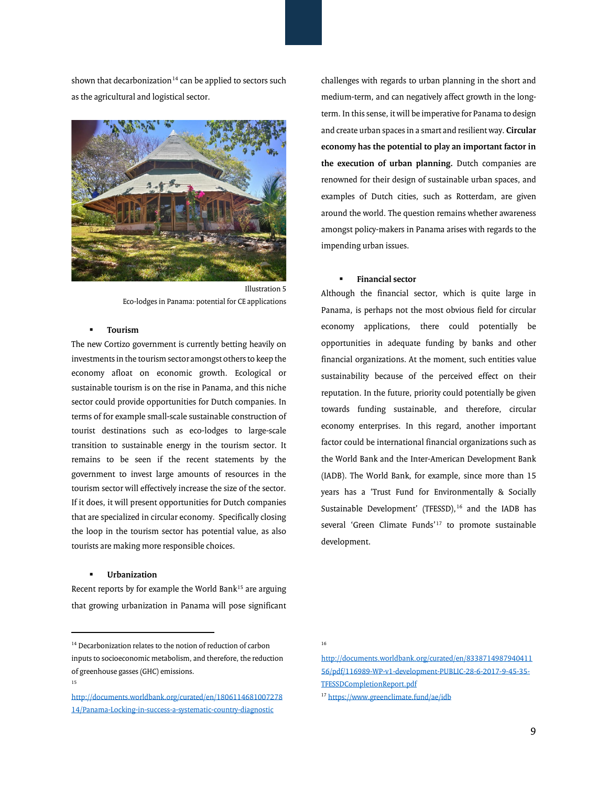shown that decarbonization<sup>[14](#page-8-0)</sup> can be applied to sectors such as the agricultural and logistical sector.



Illustration 5 Eco-lodges in Panama: potential for CE applications

#### **Tourism**

The new Cortizo government is currently betting heavily on investments in the tourism sector amongst others to keep the economy afloat on economic growth. Ecological or sustainable tourism is on the rise in Panama, and this niche sector could provide opportunities for Dutch companies. In terms of for example small-scale sustainable construction of tourist destinations such as eco-lodges to large-scale transition to sustainable energy in the tourism sector. It remains to be seen if the recent statements by the government to invest large amounts of resources in the tourism sector will effectively increase the size of the sector. If it does, it will present opportunities for Dutch companies that are specialized in circular economy. Specifically closing the loop in the tourism sector has potential value, as also tourists are making more responsible choices.

#### **Urbanization**

Recent reports by for example the World Bank $15$  are arguing that growing urbanization in Panama will pose significant

 $\overline{a}$ 

challenges with regards to urban planning in the short and medium-term, and can negatively affect growth in the longterm. In this sense, it will be imperative for Panama to design and create urban spaces in a smart and resilient way. **Circular economy has the potential to play an important factor in the execution of urban planning.** Dutch companies are renowned for their design of sustainable urban spaces, and examples of Dutch cities, such as Rotterdam, are given around the world. The question remains whether awareness amongst policy-makers in Panama arises with regards to the impending urban issues.

#### **Financial sector**

Although the financial sector, which is quite large in Panama, is perhaps not the most obvious field for circular economy applications, there could potentially be opportunities in adequate funding by banks and other financial organizations. At the moment, such entities value sustainability because of the perceived effect on their reputation. In the future, priority could potentially be given towards funding sustainable, and therefore, circular economy enterprises. In this regard, another important factor could be international financial organizations such as the World Bank and the Inter-American Development Bank (IADB). The World Bank, for example, since more than 15 years has a 'Trust Fund for Environmentally & Socially Sustainable Development' (TFESSD),<sup>[16](#page-8-2)</sup> and the IADB has several 'Green Climate Funds'[17](#page-8-3) to promote sustainable development.

16

<span id="page-8-2"></span><span id="page-8-0"></span><sup>&</sup>lt;sup>14</sup> Decarbonization relates to the notion of reduction of carbon inputs to socioeconomic metabolism, and therefore, the reduction of greenhouse gasses (GHC) emissions.

<sup>15</sup>

<span id="page-8-3"></span><span id="page-8-1"></span>[http://documents.worldbank.org/curated/en/1806114681007278](http://documents.worldbank.org/curated/en/180611468100727814/Panama-Locking-in-success-a-systematic-country-diagnostic) [14/Panama-Locking-in-success-a-systematic-country-diagnostic](http://documents.worldbank.org/curated/en/180611468100727814/Panama-Locking-in-success-a-systematic-country-diagnostic)

[http://documents.worldbank.org/curated/en/8338714987940411](http://documents.worldbank.org/curated/en/833871498794041156/pdf/116989-WP-v1-development-PUBLIC-28-6-2017-9-45-35-TFESSDCompletionReport.pdf) [56/pdf/116989-WP-v1-development-PUBLIC-28-6-2017-9-45-35-](http://documents.worldbank.org/curated/en/833871498794041156/pdf/116989-WP-v1-development-PUBLIC-28-6-2017-9-45-35-TFESSDCompletionReport.pdf) [TFESSDCompletionReport.pdf](http://documents.worldbank.org/curated/en/833871498794041156/pdf/116989-WP-v1-development-PUBLIC-28-6-2017-9-45-35-TFESSDCompletionReport.pdf)

<sup>17</sup> <https://www.greenclimate.fund/ae/idb>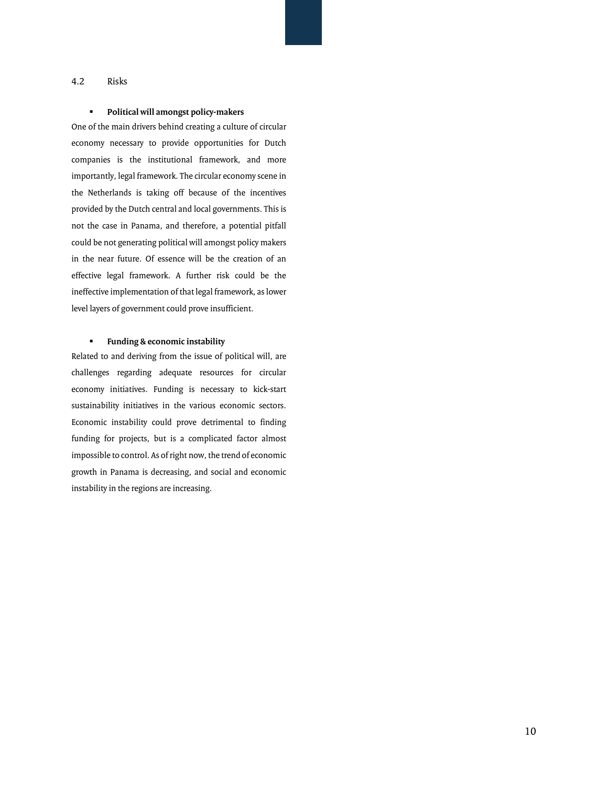#### <span id="page-9-0"></span>4.2 Risks

#### **Political will amongst policy-makers**

One of the main drivers behind creating a culture of circular economy necessary to provide opportunities for Dutch companies is the institutional framework, and more importantly, legal framework. The circular economy scene in the Netherlands is taking off because of the incentives provided by the Dutch central and local governments. This is not the case in Panama, and therefore, a potential pitfall could be not generating political will amongst policy makers in the near future. Of essence will be the creation of an effective legal framework. A further risk could be the ineffective implementation of that legal framework, as lower level layers of government could prove insufficient.

#### **Funding & economic instability**

Related to and deriving from the issue of political will, are challenges regarding adequate resources for circular economy initiatives. Funding is necessary to kick-start sustainability initiatives in the various economic sectors. Economic instability could prove detrimental to finding funding for projects, but is a complicated factor almost impossible to control. As of right now, the trend of economic growth in Panama is decreasing, and social and economic instability in the regions are increasing.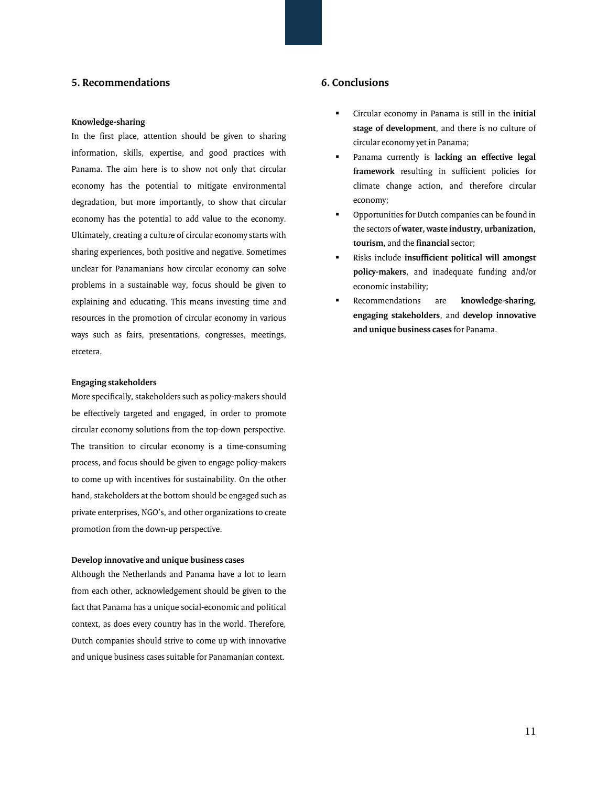#### **5. Recommendations**

#### **Knowledge-sharing**

In the first place, attention should be given to sharing information, skills, expertise, and good practices with Panama. The aim here is to show not only that circular economy has the potential to mitigate environmental degradation, but more importantly, to show that circular economy has the potential to add value to the economy. Ultimately, creating a culture of circular economy starts with sharing experiences, both positive and negative. Sometimes unclear for Panamanians how circular economy can solve problems in a sustainable way, focus should be given to explaining and educating. This means investing time and resources in the promotion of circular economy in various ways such as fairs, presentations, congresses, meetings, etcetera.

#### **Engaging stakeholders**

More specifically, stakeholders such as policy-makers should be effectively targeted and engaged, in order to promote circular economy solutions from the top-down perspective. The transition to circular economy is a time-consuming process, and focus should be given to engage policy-makers to come up with incentives for sustainability. On the other hand, stakeholders at the bottom should be engaged such as private enterprises, NGO's, and other organizations to create promotion from the down-up perspective.

#### **Develop innovative and unique business cases**

Although the Netherlands and Panama have a lot to learn from each other, acknowledgement should be given to the fact that Panama has a unique social-economic and political context, as does every country has in the world. Therefore, Dutch companies should strive to come up with innovative and unique business cases suitable for Panamanian context.

#### <span id="page-10-0"></span>**6. Conclusions**

- Circular economy in Panama is still in the **initial stage of development**, and there is no culture of circular economy yet in Panama;
- Panama currently is **lacking an effective legal framework** resulting in sufficient policies for climate change action, and therefore circular economy;
- Opportunities for Dutch companies can be found in the sectors of **water, waste industry, urbanization, tourism,** and the **financial** sector;
- Risks include **insufficient political will amongst policy-makers**, and inadequate funding and/or economic instability;
- Recommendations are **knowledge-sharing, engaging stakeholders**, and **develop innovative and unique business cases** for Panama.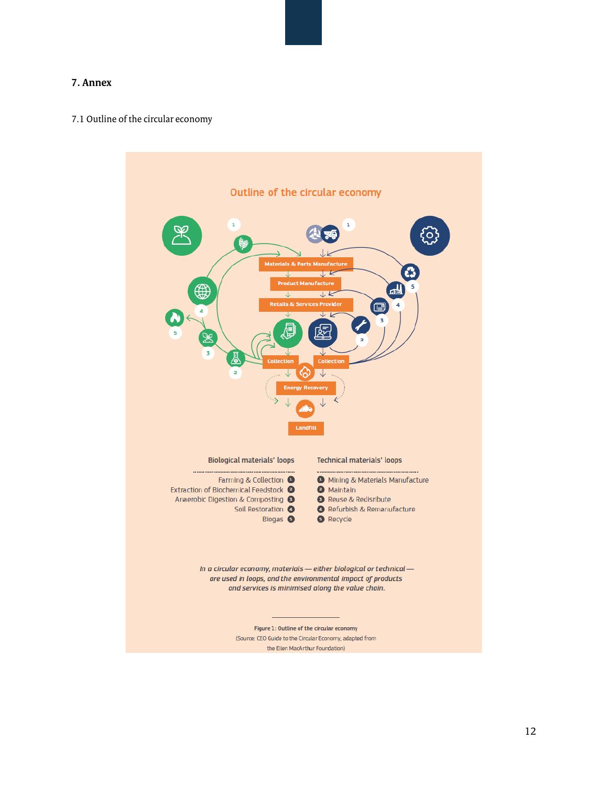#### <span id="page-11-0"></span>**7. Annex**

#### <span id="page-11-1"></span>7.1 Outline of the circular economy